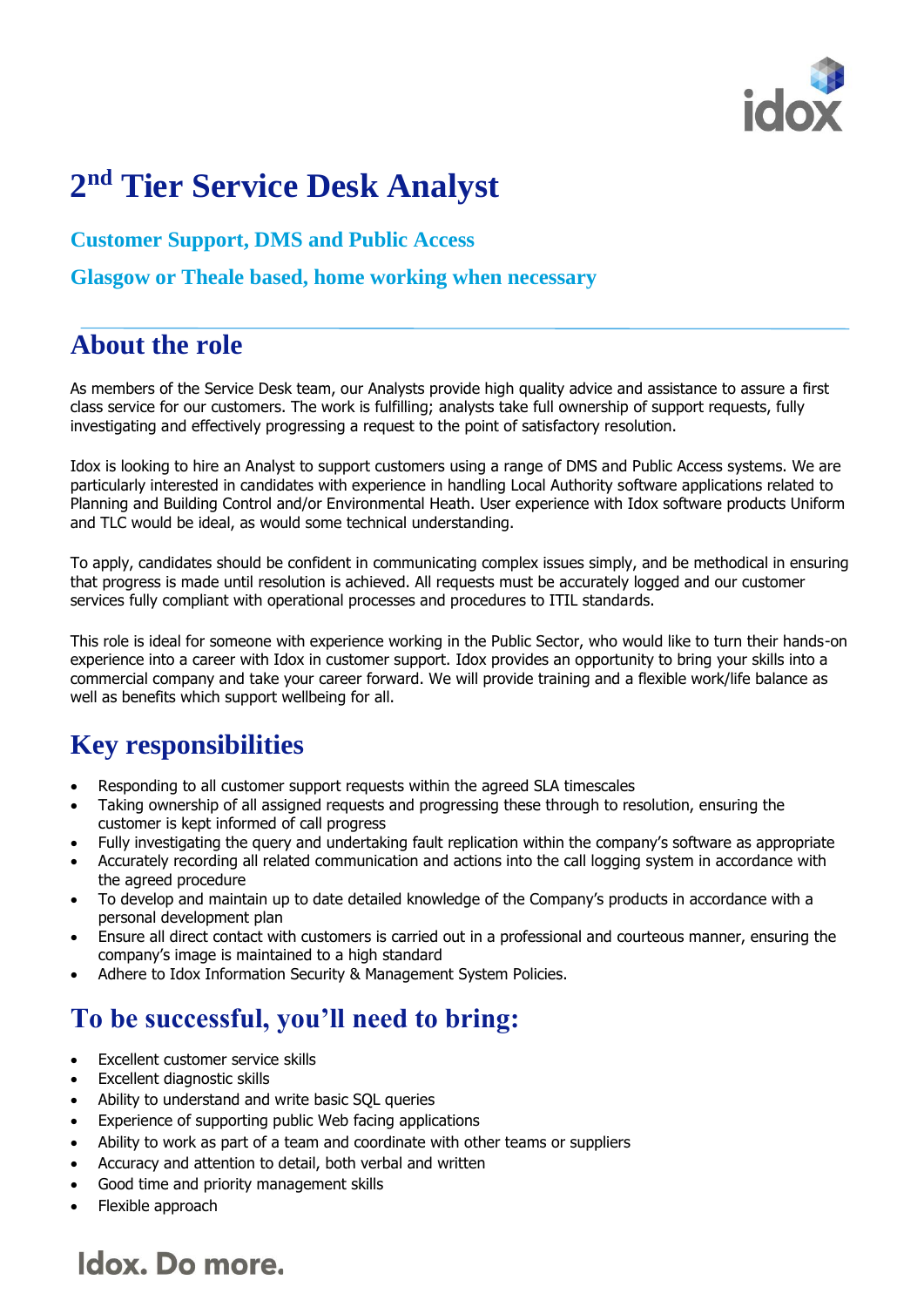

# **2 nd Tier Service Desk Analyst**

**Customer Support, DMS and Public Access**

**Glasgow or Theale based, home working when necessary** 

### **About the role**

As members of the Service Desk team, our Analysts provide high quality advice and assistance to assure a first class service for our customers. The work is fulfilling; analysts take full ownership of support requests, fully investigating and effectively progressing a request to the point of satisfactory resolution.

Idox is looking to hire an Analyst to support customers using a range of DMS and Public Access systems. We are particularly interested in candidates with experience in handling Local Authority software applications related to Planning and Building Control and/or Environmental Heath. User experience with Idox software products Uniform and TLC would be ideal, as would some technical understanding.

To apply, candidates should be confident in communicating complex issues simply, and be methodical in ensuring that progress is made until resolution is achieved. All requests must be accurately logged and our customer services fully compliant with operational processes and procedures to ITIL standards.

This role is ideal for someone with experience working in the Public Sector, who would like to turn their hands-on experience into a career with Idox in customer support. Idox provides an opportunity to bring your skills into a commercial company and take your career forward. We will provide training and a flexible work/life balance as well as benefits which support wellbeing for all.

### **Key responsibilities**

- Responding to all customer support requests within the agreed SLA timescales
- Taking ownership of all assigned requests and progressing these through to resolution, ensuring the customer is kept informed of call progress
- Fully investigating the query and undertaking fault replication within the company's software as appropriate
- Accurately recording all related communication and actions into the call logging system in accordance with the agreed procedure
- To develop and maintain up to date detailed knowledge of the Company's products in accordance with a personal development plan
- Ensure all direct contact with customers is carried out in a professional and courteous manner, ensuring the company's image is maintained to a high standard
- Adhere to Idox Information Security & Management System Policies.

#### **To be successful, you'll need to bring:**

- Excellent customer service skills
- Excellent diagnostic skills
- Ability to understand and write basic SQL queries
- Experience of supporting public Web facing applications
- Ability to work as part of a team and coordinate with other teams or suppliers
- Accuracy and attention to detail, both verbal and written
- Good time and priority management skills
- Flexible approach

## Idox. Do more.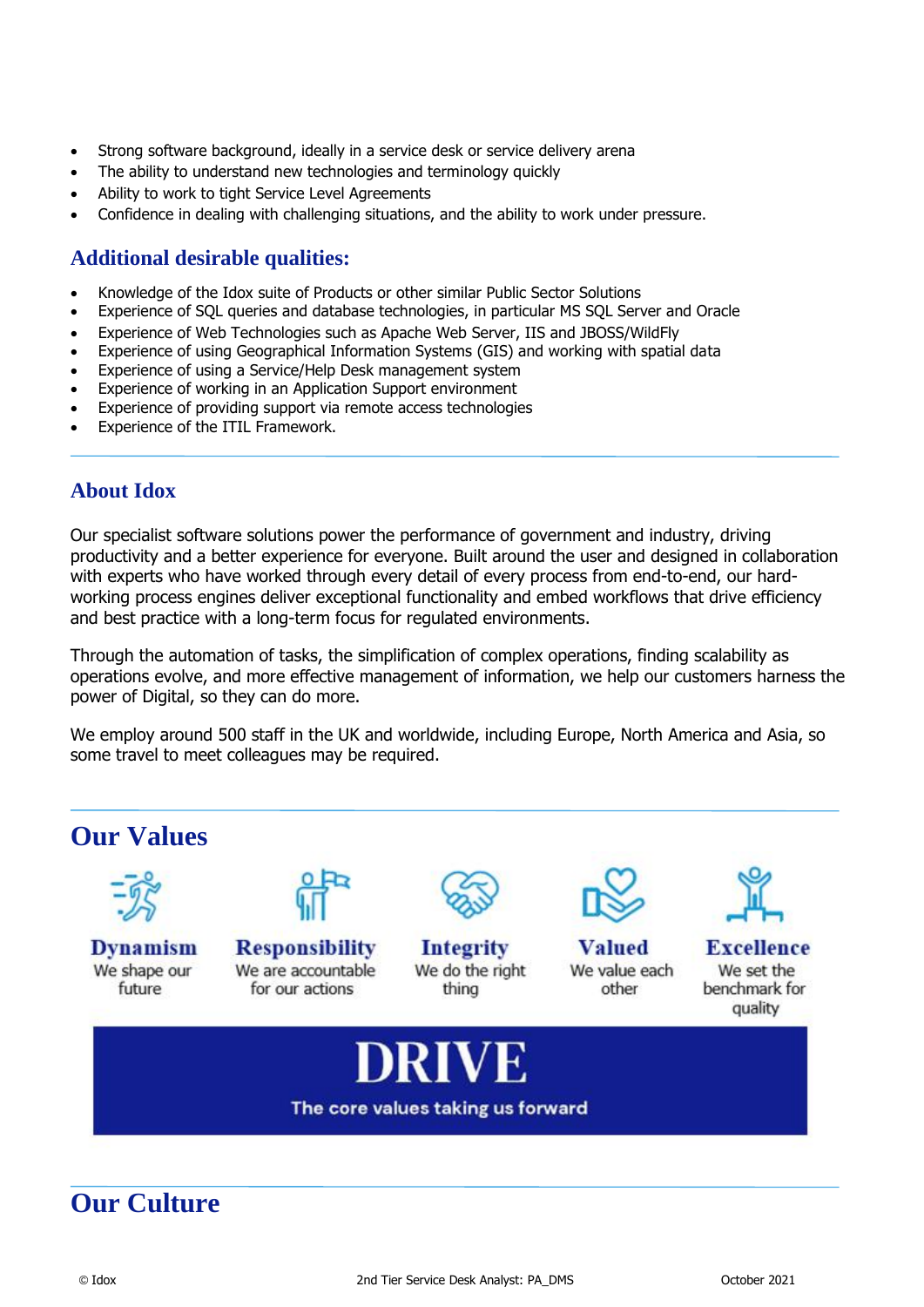- Strong software background, ideally in a service desk or service delivery arena
- The ability to understand new technologies and terminology quickly
- Ability to work to tight Service Level Agreements
- Confidence in dealing with challenging situations, and the ability to work under pressure.

#### **Additional desirable qualities:**

- Knowledge of the Idox suite of Products or other similar Public Sector Solutions
- Experience of SQL queries and database technologies, in particular MS SQL Server and Oracle
- Experience of Web Technologies such as Apache Web Server, IIS and JBOSS/WildFly
- Experience of using Geographical Information Systems (GIS) and working with spatial data
- Experience of using a Service/Help Desk management system
- Experience of working in an Application Support environment
- Experience of providing support via remote access technologies
- Experience of the ITIL Framework.

#### **About Idox**

Our specialist software solutions power the performance of government and industry, driving productivity and a better experience for everyone. Built around the user and designed in collaboration with experts who have worked through every detail of every process from end-to-end, our hardworking process engines deliver exceptional functionality and embed workflows that drive efficiency and best practice with a long-term focus for regulated environments.

Through the automation of tasks, the simplification of complex operations, finding scalability as operations evolve, and more effective management of information, we help our customers harness the power of Digital, so they can do more.

We employ around 500 staff in the UK and worldwide, including Europe, North America and Asia, so some travel to meet colleagues may be required.



#### **Our Culture**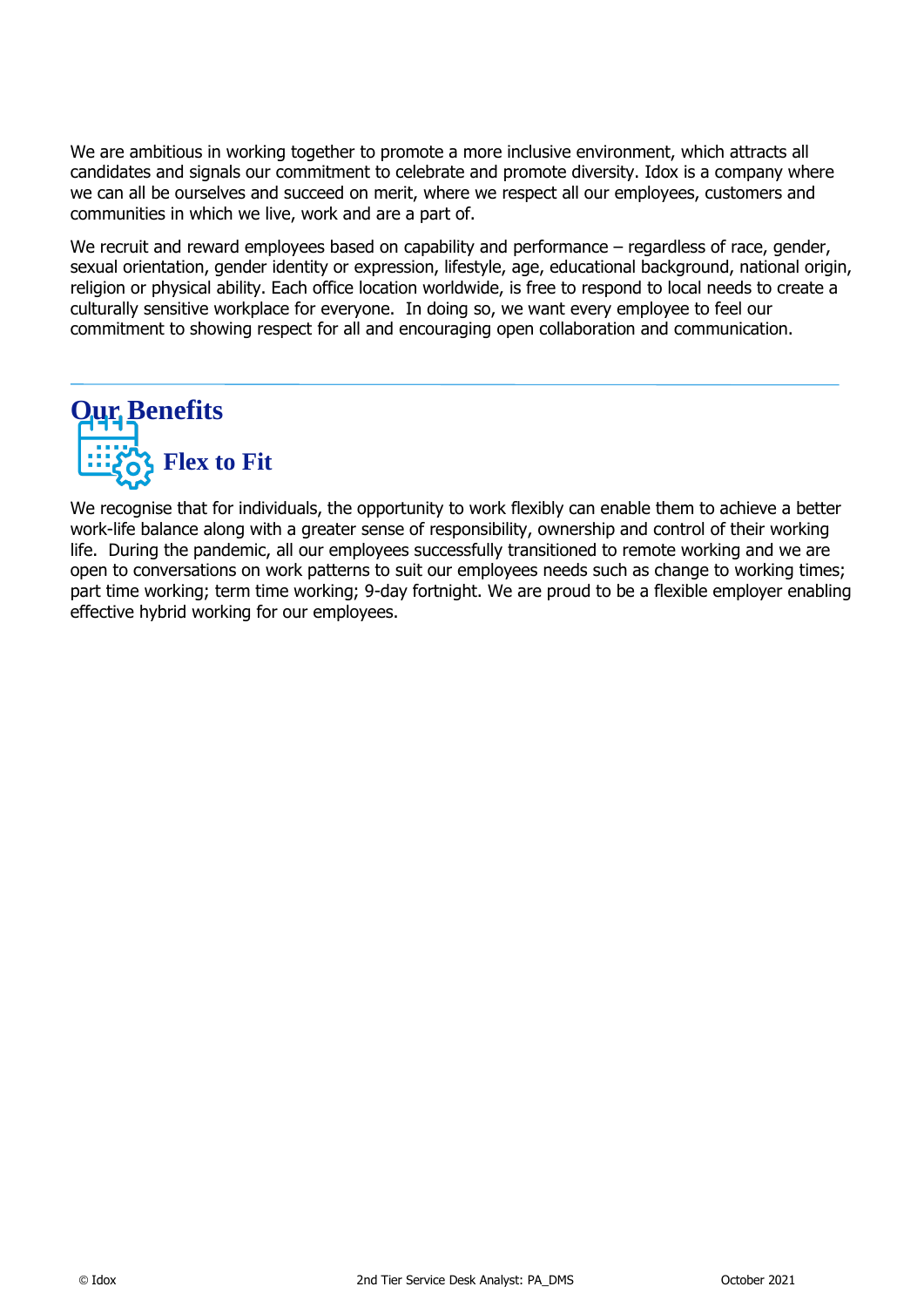We are ambitious in working together to promote a more inclusive environment, which attracts all candidates and signals our commitment to celebrate and promote diversity. Idox is a company where we can all be ourselves and succeed on merit, where we respect all our employees, customers and communities in which we live, work and are a part of.

We recruit and reward employees based on capability and performance – regardless of race, gender, sexual orientation, gender identity or expression, lifestyle, age, educational background, national origin, religion or physical ability. Each office location worldwide, is free to respond to local needs to create a culturally sensitive workplace for everyone. In doing so, we want every employee to feel our commitment to showing respect for all and encouraging open collaboration and communication.



We recognise that for individuals, the opportunity to work flexibly can enable them to achieve a better work-life balance along with a greater sense of responsibility, ownership and control of their working life. During the pandemic, all our employees successfully transitioned to remote working and we are open to conversations on work patterns to suit our employees needs such as change to working times; part time working; term time working; 9-day fortnight. We are proud to be a flexible employer enabling effective hybrid working for our employees.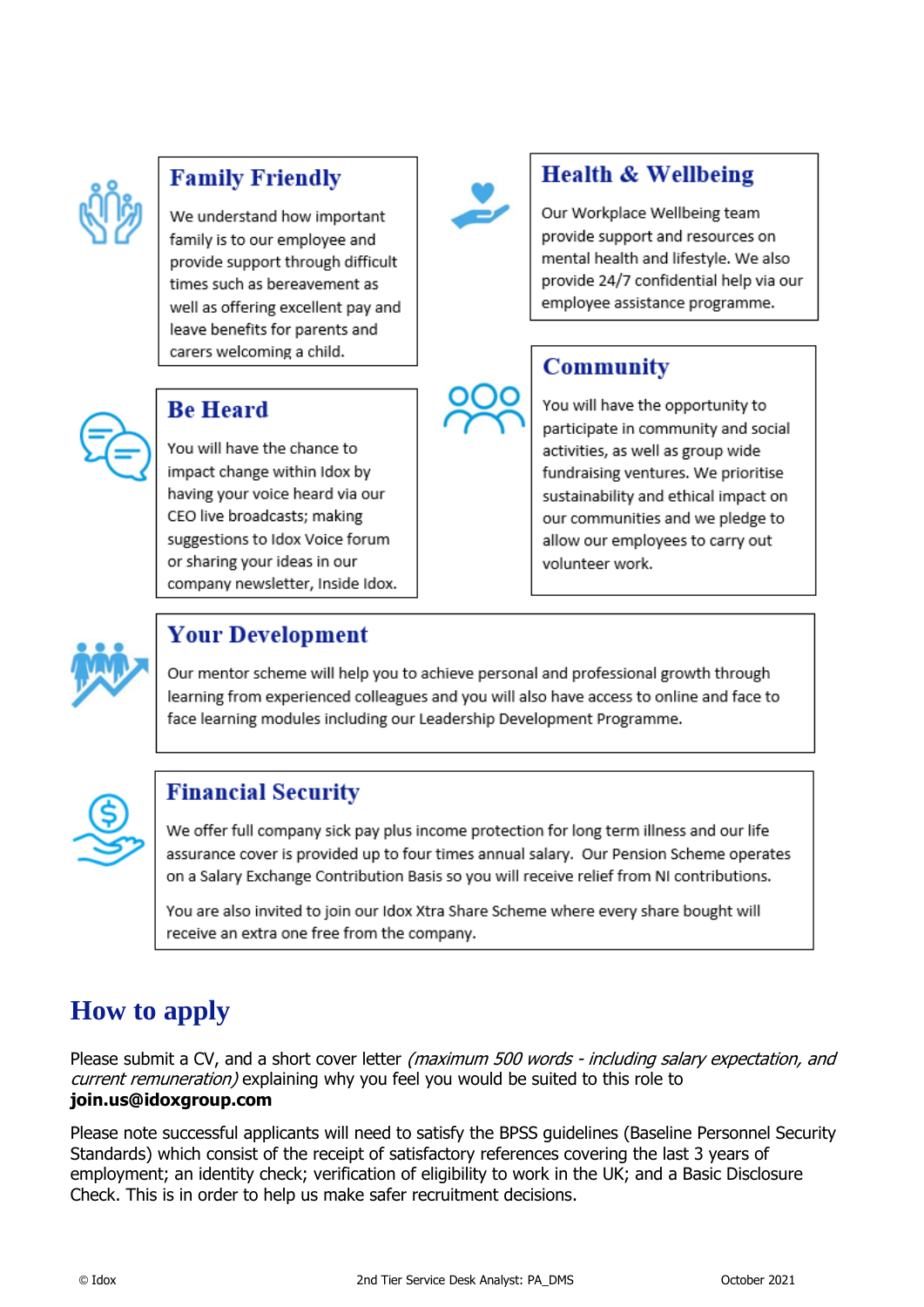

#### **Family Friendly**

We understand how important family is to our employee and provide support through difficult times such as bereavement as well as offering excellent pay and leave benefits for parents and carers welcoming a child.



#### **Be Heard**

You will have the chance to impact change within Idox by having your voice heard via our CEO live broadcasts; making suggestions to Idox Voice forum or sharing your ideas in our company newsletter, Inside Idox.



#### **Health & Wellbeing**

Our Workplace Wellbeing team provide support and resources on mental health and lifestyle. We also provide 24/7 confidential help via our employee assistance programme.

#### **Community**

You will have the opportunity to participate in community and social activities, as well as group wide fundraising ventures. We prioritise sustainability and ethical impact on our communities and we pledge to allow our employees to carry out volunteer work.



### Your Development

Our mentor scheme will help you to achieve personal and professional growth through learning from experienced colleagues and you will also have access to online and face to face learning modules including our Leadership Development Programme.



#### **Financial Security**

We offer full company sick pay plus income protection for long term illness and our life assurance cover is provided up to four times annual salary. Our Pension Scheme operates on a Salary Exchange Contribution Basis so you will receive relief from NI contributions.

You are also invited to join our Idox Xtra Share Scheme where every share bought will receive an extra one free from the company.

## **How to apply**

Please submit a CV, and a short cover letter (maximum 500 words - including salary expectation, and *current remuneration*) explaining why you feel you would be suited to this role to **join.us@idoxgroup.com**

Please note successful applicants will need to satisfy the BPSS guidelines (Baseline Personnel Security Standards) which consist of the receipt of satisfactory references covering the last 3 years of employment; an identity check; verification of eligibility to work in the UK; and a Basic Disclosure Check. This is in order to help us make safer recruitment decisions.